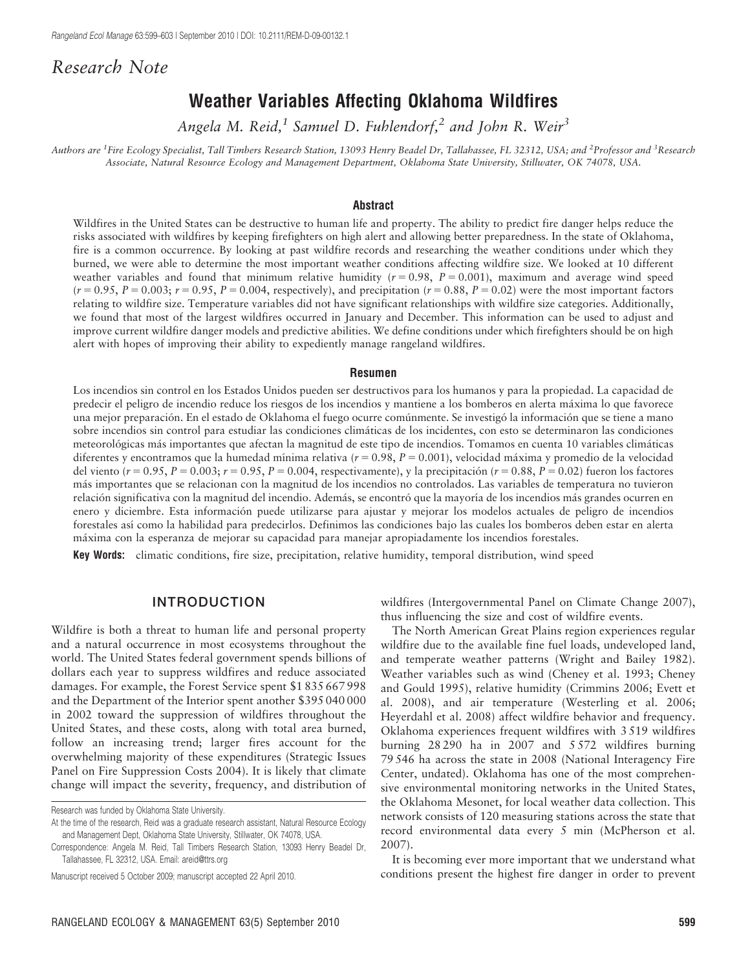# Research Note

# Weather Variables Affecting Oklahoma Wildfires

Angela M. Reid,<sup>1</sup> Samuel D. Fuhlendorf,<sup>2</sup> and John R. Weir<sup>3</sup>

Authors are <sup>1</sup>Fire Ecology Specialist, Tall Timbers Research Station, 13093 Henry Beadel Dr, Tallahassee, FL 32312, USA; and <sup>2</sup>Professor and <sup>3</sup>Research Associate, Natural Resource Ecology and Management Department, Oklahoma State University, Stillwater, OK 74078, USA.

#### Abstract

Wildfires in the United States can be destructive to human life and property. The ability to predict fire danger helps reduce the risks associated with wildfires by keeping firefighters on high alert and allowing better preparedness. In the state of Oklahoma, fire is a common occurrence. By looking at past wildfire records and researching the weather conditions under which they burned, we were able to determine the most important weather conditions affecting wildfire size. We looked at 10 different weather variables and found that minimum relative humidity  $(r = 0.98, P = 0.001)$ , maximum and average wind speed  $(r = 0.95, P = 0.003; r = 0.95, P = 0.004$ , respectively), and precipitation  $(r = 0.88, P = 0.02)$  were the most important factors relating to wildfire size. Temperature variables did not have significant relationships with wildfire size categories. Additionally, we found that most of the largest wildfires occurred in January and December. This information can be used to adjust and improve current wildfire danger models and predictive abilities. We define conditions under which firefighters should be on high alert with hopes of improving their ability to expediently manage rangeland wildfires.

#### Resumen

Los incendios sin control en los Estados Unidos pueden ser destructivos para los humanos y para la propiedad. La capacidad de predecir el peligro de incendio reduce los riesgos de los incendios y mantiene a los bomberos en alerta máxima lo que favorece una mejor preparación. En el estado de Oklahoma el fuego ocurre comúnmente. Se investigó la información que se tiene a mano sobre incendios sin control para estudiar las condiciones clima´ticas de los incidentes, con esto se determinaron las condiciones meteorológicas más importantes que afectan la magnitud de este tipo de incendios. Tomamos en cuenta 10 variables climáticas diferentes y encontramos que la humedad mínima relativa ( $r = 0.98$ ,  $P = 0.001$ ), velocidad máxima y promedio de la velocidad del viento ( $r = 0.95$ ,  $P = 0.003$ ;  $r = 0.95$ ,  $P = 0.004$ , respectivamente), y la precipitación ( $r = 0.88$ ,  $P = 0.02$ ) fueron los factores ma´s importantes que se relacionan con la magnitud de los incendios no controlados. Las variables de temperatura no tuvieron relación significativa con la magnitud del incendio. Además, se encontró que la mayoría de los incendios más grandes ocurren en enero y diciembre. Esta información puede utilizarse para ajustar y mejorar los modelos actuales de peligro de incendios forestales ası´ como la habilidad para predecirlos. Definimos las condiciones bajo las cuales los bomberos deben estar en alerta ma´xima con la esperanza de mejorar su capacidad para manejar apropiadamente los incendios forestales.

Key Words: climatic conditions, fire size, precipitation, relative humidity, temporal distribution, wind speed

## INTRODUCTION

Wildfire is both a threat to human life and personal property and a natural occurrence in most ecosystems throughout the world. The United States federal government spends billions of dollars each year to suppress wildfires and reduce associated damages. For example, the Forest Service spent \$1 835 667 998 and the Department of the Interior spent another \$395 040 000 in 2002 toward the suppression of wildfires throughout the United States, and these costs, along with total area burned, follow an increasing trend; larger fires account for the overwhelming majority of these expenditures (Strategic Issues Panel on Fire Suppression Costs 2004). It is likely that climate change will impact the severity, frequency, and distribution of

wildfires (Intergovernmental Panel on Climate Change 2007), thus influencing the size and cost of wildfire events.

The North American Great Plains region experiences regular wildfire due to the available fine fuel loads, undeveloped land, and temperate weather patterns (Wright and Bailey 1982). Weather variables such as wind (Cheney et al. 1993; Cheney and Gould 1995), relative humidity (Crimmins 2006; Evett et al. 2008), and air temperature (Westerling et al. 2006; Heyerdahl et al. 2008) affect wildfire behavior and frequency. Oklahoma experiences frequent wildfires with 3 519 wildfires burning 28 290 ha in 2007 and 5 572 wildfires burning 79 546 ha across the state in 2008 (National Interagency Fire Center, undated). Oklahoma has one of the most comprehensive environmental monitoring networks in the United States, the Oklahoma Mesonet, for local weather data collection. This network consists of 120 measuring stations across the state that record environmental data every 5 min (McPherson et al. 2007).

It is becoming ever more important that we understand what conditions present the highest fire danger in order to prevent

Research was funded by Oklahoma State University.

At the time of the research, Reid was a graduate research assistant, Natural Resource Ecology and Management Dept, Oklahoma State University, Stillwater, OK 74078, USA.

Correspondence: Angela M. Reid, Tall Timbers Research Station, 13093 Henry Beadel Dr, Tallahassee, FL 32312, USA. Email: areid@ttrs.org

Manuscript received 5 October 2009; manuscript accepted 22 April 2010.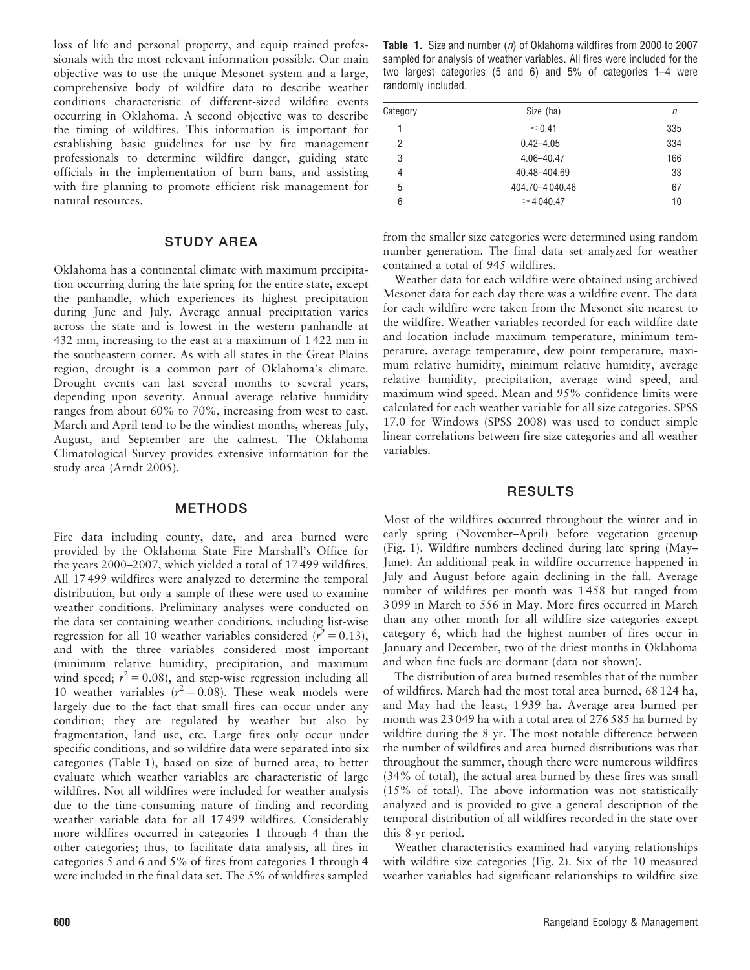loss of life and personal property, and equip trained professionals with the most relevant information possible. Our main objective was to use the unique Mesonet system and a large, comprehensive body of wildfire data to describe weather conditions characteristic of different-sized wildfire events occurring in Oklahoma. A second objective was to describe the timing of wildfires. This information is important for establishing basic guidelines for use by fire management professionals to determine wildfire danger, guiding state officials in the implementation of burn bans, and assisting with fire planning to promote efficient risk management for natural resources.

## STUDY AREA

Oklahoma has a continental climate with maximum precipitation occurring during the late spring for the entire state, except the panhandle, which experiences its highest precipitation during June and July. Average annual precipitation varies across the state and is lowest in the western panhandle at 432 mm, increasing to the east at a maximum of 1 422 mm in the southeastern corner. As with all states in the Great Plains region, drought is a common part of Oklahoma's climate. Drought events can last several months to several years, depending upon severity. Annual average relative humidity ranges from about 60% to 70%, increasing from west to east. March and April tend to be the windiest months, whereas July, August, and September are the calmest. The Oklahoma Climatological Survey provides extensive information for the study area (Arndt 2005).

### METHODS

Fire data including county, date, and area burned were provided by the Oklahoma State Fire Marshall's Office for the years 2000–2007, which yielded a total of 17 499 wildfires. All 17 499 wildfires were analyzed to determine the temporal distribution, but only a sample of these were used to examine weather conditions. Preliminary analyses were conducted on the data set containing weather conditions, including list-wise regression for all 10 weather variables considered ( $r^2 = 0.13$ ), and with the three variables considered most important (minimum relative humidity, precipitation, and maximum wind speed;  $r^2 = 0.08$ ), and step-wise regression including all 10 weather variables  $(r^2 = 0.08)$ . These weak models were largely due to the fact that small fires can occur under any condition; they are regulated by weather but also by fragmentation, land use, etc. Large fires only occur under specific conditions, and so wildfire data were separated into six categories (Table 1), based on size of burned area, to better evaluate which weather variables are characteristic of large wildfires. Not all wildfires were included for weather analysis due to the time-consuming nature of finding and recording weather variable data for all 17 499 wildfires. Considerably more wildfires occurred in categories 1 through 4 than the other categories; thus, to facilitate data analysis, all fires in categories 5 and 6 and 5% of fires from categories 1 through 4 were included in the final data set. The 5% of wildfires sampled

Table 1. Size and number  $(n)$  of Oklahoma wildfires from 2000 to 2007 sampled for analysis of weather variables. All fires were included for the two largest categories (5 and 6) and 5% of categories 1–4 were randomly included.

| Category | Size (ha)       | n   |
|----------|-----------------|-----|
|          | $\leq 0.41$     | 335 |
| 2        | $0.42 - 4.05$   | 334 |
| 3        | 4.06-40.47      | 166 |
| 4        | 40.48-404.69    | 33  |
| 5        | 404.70-4040.46  | 67  |
| 6        | $\geq$ 4 040.47 | 10  |

from the smaller size categories were determined using random number generation. The final data set analyzed for weather contained a total of 945 wildfires.

Weather data for each wildfire were obtained using archived Mesonet data for each day there was a wildfire event. The data for each wildfire were taken from the Mesonet site nearest to the wildfire. Weather variables recorded for each wildfire date and location include maximum temperature, minimum temperature, average temperature, dew point temperature, maximum relative humidity, minimum relative humidity, average relative humidity, precipitation, average wind speed, and maximum wind speed. Mean and 95% confidence limits were calculated for each weather variable for all size categories. SPSS 17.0 for Windows (SPSS 2008) was used to conduct simple linear correlations between fire size categories and all weather variables.

### RESULTS

Most of the wildfires occurred throughout the winter and in early spring (November–April) before vegetation greenup (Fig. 1). Wildfire numbers declined during late spring (May– June). An additional peak in wildfire occurrence happened in July and August before again declining in the fall. Average number of wildfires per month was 1 458 but ranged from 3 099 in March to 556 in May. More fires occurred in March than any other month for all wildfire size categories except category 6, which had the highest number of fires occur in January and December, two of the driest months in Oklahoma and when fine fuels are dormant (data not shown).

The distribution of area burned resembles that of the number of wildfires. March had the most total area burned, 68 124 ha, and May had the least, 1 939 ha. Average area burned per month was 23 049 ha with a total area of 276 585 ha burned by wildfire during the 8 yr. The most notable difference between the number of wildfires and area burned distributions was that throughout the summer, though there were numerous wildfires (34% of total), the actual area burned by these fires was small (15% of total). The above information was not statistically analyzed and is provided to give a general description of the temporal distribution of all wildfires recorded in the state over this 8-yr period.

Weather characteristics examined had varying relationships with wildfire size categories (Fig. 2). Six of the 10 measured weather variables had significant relationships to wildfire size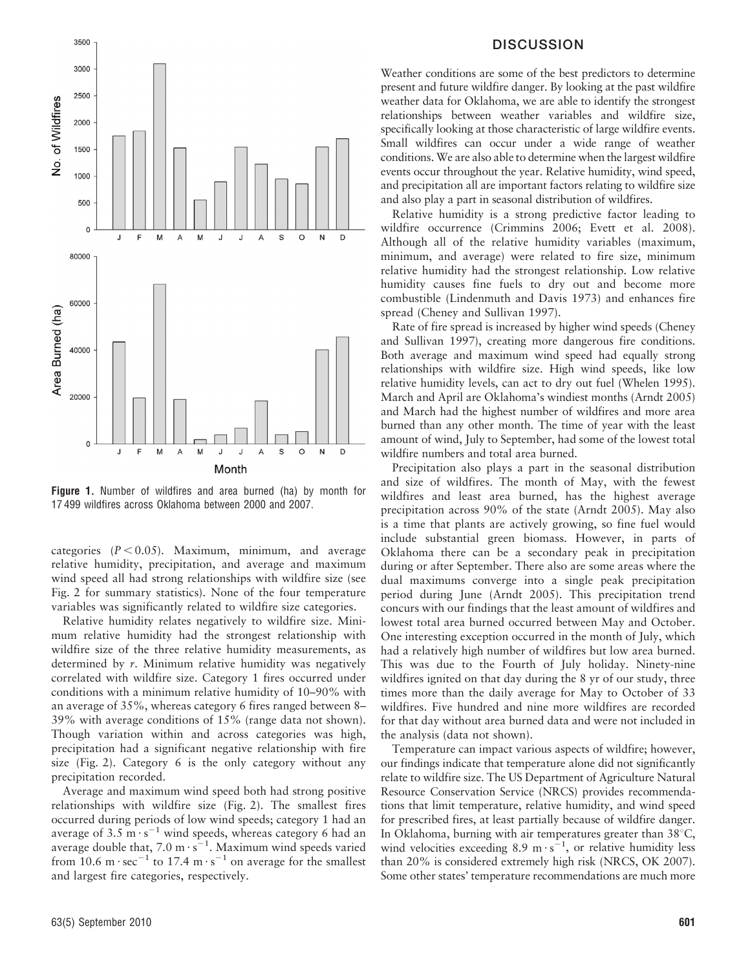

Figure 1. Number of wildfires and area burned (ha) by month for 17 499 wildfires across Oklahoma between 2000 and 2007.

categories  $(P < 0.05)$ . Maximum, minimum, and average relative humidity, precipitation, and average and maximum wind speed all had strong relationships with wildfire size (see Fig. 2 for summary statistics). None of the four temperature variables was significantly related to wildfire size categories.

Relative humidity relates negatively to wildfire size. Minimum relative humidity had the strongest relationship with wildfire size of the three relative humidity measurements, as determined by r. Minimum relative humidity was negatively correlated with wildfire size. Category 1 fires occurred under conditions with a minimum relative humidity of 10–90% with an average of 35%, whereas category 6 fires ranged between 8– 39% with average conditions of 15% (range data not shown). Though variation within and across categories was high, precipitation had a significant negative relationship with fire size (Fig. 2). Category 6 is the only category without any precipitation recorded.

Average and maximum wind speed both had strong positive relationships with wildfire size (Fig. 2). The smallest fires occurred during periods of low wind speeds; category 1 had an average of 3.5  $\text{m·s}^{-1}$  wind speeds, whereas category 6 had an average double that,  $7.0 \text{ m} \cdot \text{s}^{-1}$ . Maximum wind speeds varied from 10.6 m $\cdot$  sec<sup>-1</sup> to 17.4 m $\cdot$  s<sup>-1</sup> on average for the smallest and largest fire categories, respectively.

### DISCUSSION

Weather conditions are some of the best predictors to determine present and future wildfire danger. By looking at the past wildfire weather data for Oklahoma, we are able to identify the strongest relationships between weather variables and wildfire size, specifically looking at those characteristic of large wildfire events. Small wildfires can occur under a wide range of weather conditions. We are also able to determine when the largest wildfire events occur throughout the year. Relative humidity, wind speed, and precipitation all are important factors relating to wildfire size and also play a part in seasonal distribution of wildfires.

Relative humidity is a strong predictive factor leading to wildfire occurrence (Crimmins 2006; Evett et al. 2008). Although all of the relative humidity variables (maximum, minimum, and average) were related to fire size, minimum relative humidity had the strongest relationship. Low relative humidity causes fine fuels to dry out and become more combustible (Lindenmuth and Davis 1973) and enhances fire spread (Cheney and Sullivan 1997).

Rate of fire spread is increased by higher wind speeds (Cheney and Sullivan 1997), creating more dangerous fire conditions. Both average and maximum wind speed had equally strong relationships with wildfire size. High wind speeds, like low relative humidity levels, can act to dry out fuel (Whelen 1995). March and April are Oklahoma's windiest months (Arndt 2005) and March had the highest number of wildfires and more area burned than any other month. The time of year with the least amount of wind, July to September, had some of the lowest total wildfire numbers and total area burned.

Precipitation also plays a part in the seasonal distribution and size of wildfires. The month of May, with the fewest wildfires and least area burned, has the highest average precipitation across 90% of the state (Arndt 2005). May also is a time that plants are actively growing, so fine fuel would include substantial green biomass. However, in parts of Oklahoma there can be a secondary peak in precipitation during or after September. There also are some areas where the dual maximums converge into a single peak precipitation period during June (Arndt 2005). This precipitation trend concurs with our findings that the least amount of wildfires and lowest total area burned occurred between May and October. One interesting exception occurred in the month of July, which had a relatively high number of wildfires but low area burned. This was due to the Fourth of July holiday. Ninety-nine wildfires ignited on that day during the 8 yr of our study, three times more than the daily average for May to October of 33 wildfires. Five hundred and nine more wildfires are recorded for that day without area burned data and were not included in the analysis (data not shown).

Temperature can impact various aspects of wildfire; however, our findings indicate that temperature alone did not significantly relate to wildfire size. The US Department of Agriculture Natural Resource Conservation Service (NRCS) provides recommendations that limit temperature, relative humidity, and wind speed for prescribed fires, at least partially because of wildfire danger. In Oklahoma, burning with air temperatures greater than  $38^{\circ}$ C, wind velocities exceeding 8.9 m $\cdot$  s<sup>21</sup>, or relative humidity less than 20% is considered extremely high risk (NRCS, OK 2007). Some other states' temperature recommendations are much more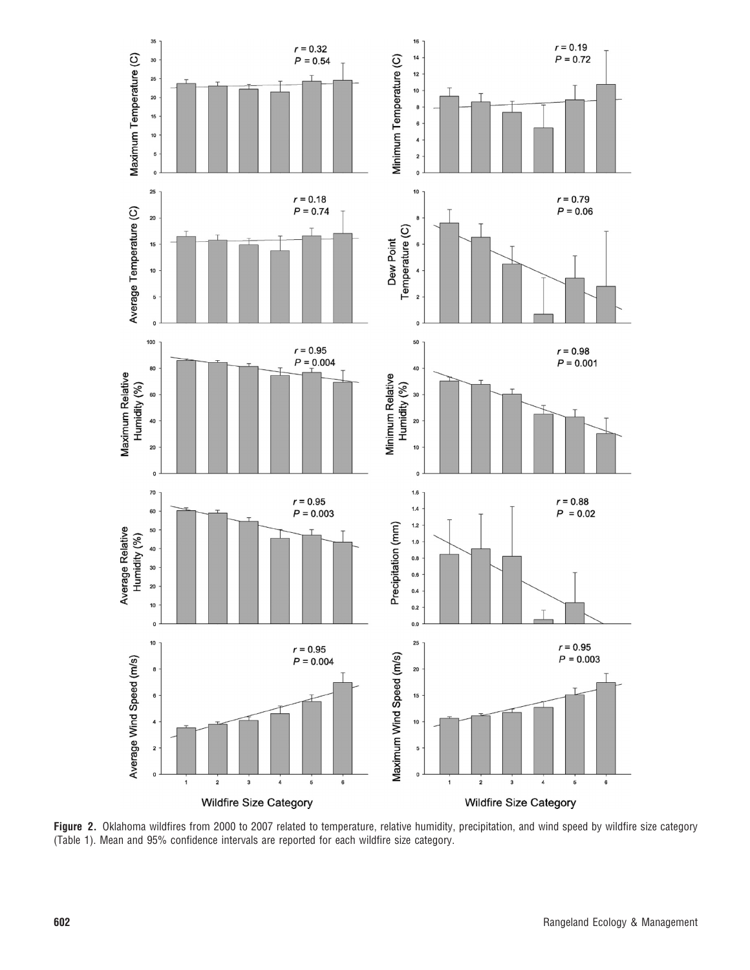

Figure 2. Oklahoma wildfires from 2000 to 2007 related to temperature, relative humidity, precipitation, and wind speed by wildfire size category (Table 1). Mean and 95% confidence intervals are reported for each wildfire size category.